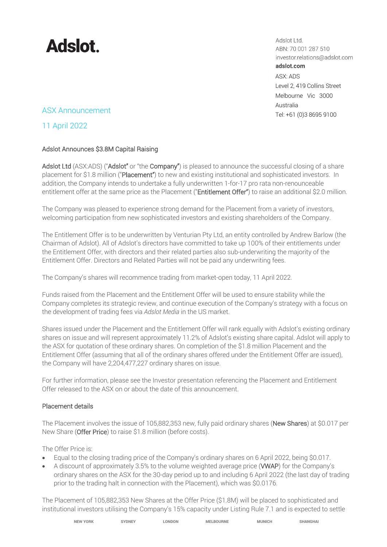

Adslot Ltd. ABN: 70 001 287 510 investor.relations@adslot.com adslot.com ASX: ADS Level 2, 419 Collins Street Melbourne Vic 3000 Australia

### Tel: +61 (0)3 8695 9100 ASX Announcement

11 April 2022

### Adslot Announces \$3.8M Capital Raising

Adslot Ltd (ASX:ADS) ("Adslot" or "the Company") is pleased to announce the successful closing of a share placement for \$1.8 million ("Placement") to new and existing institutional and sophisticated investors. In addition, the Company intends to undertake a fully underwritten 1-for-17 pro rata non-renounceable entitlement offer at the same price as the Placement ("Entitlement Offer") to raise an additional \$2.0 million.

The Company was pleased to experience strong demand for the Placement from a variety of investors, welcoming participation from new sophisticated investors and existing shareholders of the Company.

The Entitlement Offer is to be underwritten by Venturian Pty Ltd, an entity controlled by Andrew Barlow (the Chairman of Adslot). All of Adslot's directors have committed to take up 100% of their entitlements under the Entitlement Offer, with directors and their related parties also sub-underwriting the majority of the Entitlement Offer. Directors and Related Parties will not be paid any underwriting fees.

The Company's shares will recommence trading from market-open today, 11 April 2022.

Funds raised from the Placement and the Entitlement Offer will be used to ensure stability while the Company completes its strategic review, and continue execution of the Company's strategy with a focus on the development of trading fees via *Adslot Media* in the US market.

Shares issued under the Placement and the Entitlement Offer will rank equally with Adslot's existing ordinary shares on issue and will represent approximately 11.2% of Adslot's existing share capital. Adslot will apply to the ASX for quotation of these ordinary shares. On completion of the \$1.8 million Placement and the Entitlement Offer (assuming that all of the ordinary shares offered under the Entitlement Offer are issued), the Company will have 2,204,477,227 ordinary shares on issue.

For further information, please see the Investor presentation referencing the Placement and Entitlement Offer released to the ASX on or about the date of this announcement.

#### Placement details

The Placement involves the issue of 105,882,353 new, fully paid ordinary shares (New Shares) at \$0.017 per New Share (Offer Price) to raise \$1.8 million (before costs).

The Offer Price is:

- Equal to the closing trading price of the Company's ordinary shares on 6 April 2022, being \$0.017.
- A discount of approximately 3.5% to the volume weighted average price (VWAP) for the Company's ordinary shares on the ASX for the 30-day period up to and including 6 April 2022 (the last day of trading prior to the trading halt in connection with the Placement), which was \$0.0176.

The Placement of 105,882,353 New Shares at the Offer Price (\$1.8M) will be placed to sophisticated and institutional investors utilising the Company's 15% capacity under Listing Rule 7.1 and is expected to settle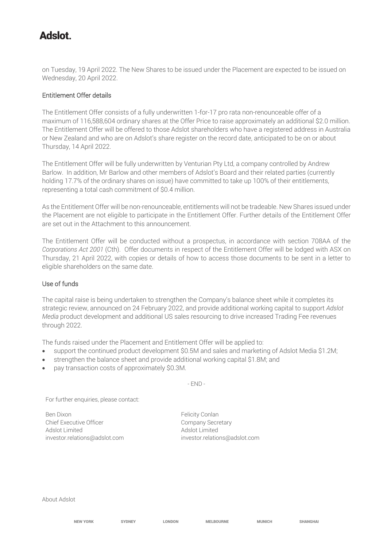# **Adelot**

on Tuesday, 19 April 2022. The New Shares to be issued under the Placement are expected to be issued on Wednesday, 20 April 2022.

#### Entitlement Offer details

The Entitlement Offer consists of a fully underwritten 1-for-17 pro rata non-renounceable offer of a maximum of 116,588,604 ordinary shares at the Offer Price to raise approximately an additional \$2.0 million. The Entitlement Offer will be offered to those Adslot shareholders who have a registered address in Australia or New Zealand and who are on Adslot's share register on the record date, anticipated to be on or about Thursday, 14 April 2022.

The Entitlement Offer will be fully underwritten by Venturian Pty Ltd, a company controlled by Andrew Barlow. In addition, Mr Barlow and other members of Adslot's Board and their related parties (currently holding 17.7% of the ordinary shares on issue) have committed to take up 100% of their entitlements, representing a total cash commitment of \$0.4 million.

As the Entitlement Offer will be non-renounceable, entitlements will not be tradeable. New Shares issued under the Placement are not eligible to participate in the Entitlement Offer. Further details of the Entitlement Offer are set out in the Attachment to this announcement.

The Entitlement Offer will be conducted without a prospectus, in accordance with section 708AA of the *Corporations Act 2001* (Cth). Offer documents in respect of the Entitlement Offer will be lodged with ASX on Thursday, 21 April 2022, with copies or details of how to access those documents to be sent in a letter to eligible shareholders on the same date.

#### Use of funds

The capital raise is being undertaken to strengthen the Company's balance sheet while it completes its strategic review, announced on 24 February 2022, and provide additional working capital to support *Adslot Media* product development and additional US sales resourcing to drive increased Trading Fee revenues through 2022.

The funds raised under the Placement and Entitlement Offer will be applied to:

- support the continued product development \$0.5M and sales and marketing of Adslot Media \$1.2M;
- strengthen the balance sheet and provide additional working capital \$1.8M; and
- pay transaction costs of approximately \$0.3M.

- END -

For further enquiries, please contact:

Ben Dixon **Felicity Conlan** Chief Executive Officer Chief Executive Officer Adslot Limited Adslot Limited

investor.relations@adslot.com investor.relations@adslot.com

About Adslot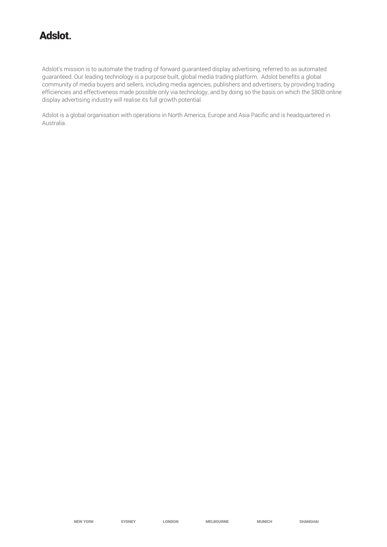## **Adslot.**

Adslot's mission is to automate the trading of forward guaranteed display advertising, referred to as automated guaranteed. Our leading technology is a purpose built, global media trading platform. Adslot benefits a global community of media buyers and sellers, including media agencies, publishers and advertisers, by providing trading efficiencies and effectiveness made possible only via technology, and by doing so the basis on which the \$80B online display advertising industry will realise its full growth potential.

Adslot is a global organisation with operations in North America, Europe and Asia Pacific and is headquartered in Australia.